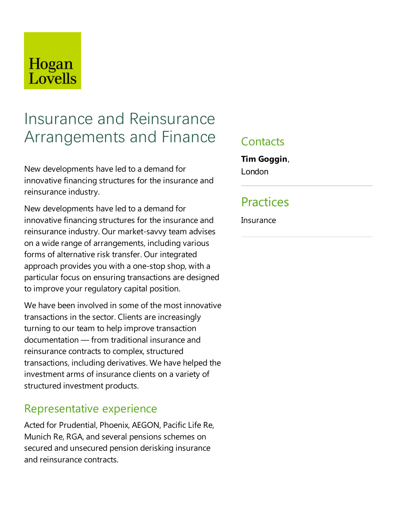## Hogan Lovells

# Insurance and Reinsurance Arrangements and Finance

New developments haveled to a demand for innovative financing structures for the insurance and reinsurance industry.

New developments haveled to a demand for innovative financing structures for the insurance and reinsurance industry. Our market-savvy team advises on a wide range of arrangements, including various forms of alternative risk transfer. Our integrated approach provides you with a one-stop shop, with a particular focus on ensuring transactions are designed to improve your regulatory capital position.

We have been involved in some of the most innovative transactions in the sector. Clients are increasingly turning to our team to help improve transaction documentation — from traditional insurance and reinsurance contracts to complex, structured transactions, including derivatives. We have helped the investment arms of insurance clients on a variety of structured investment products.

### Representative experience

Acted for Prudential, Phoenix, AEGON, Pacific Life Re, Munich Re, RGA, and several pensions schemes on secured and unsecured pension derisking insurance and reinsurance contracts.

#### **Contacts**

**Tim Goggin**, London

### Practices

**Insurance**